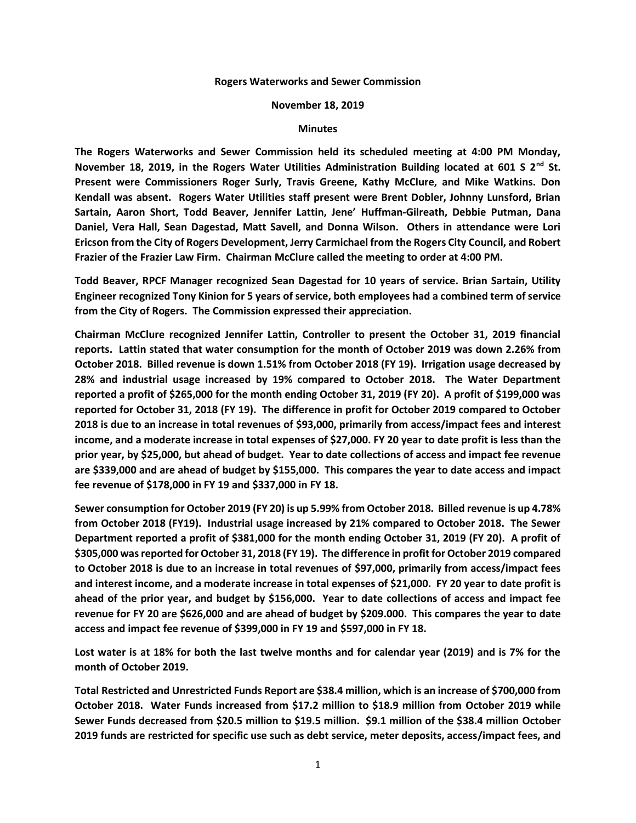## **Rogers Waterworks and Sewer Commission**

## **November 18, 2019**

## **Minutes**

**The Rogers Waterworks and Sewer Commission held its scheduled meeting at 4:00 PM Monday, November 18, 2019, in the Rogers Water Utilities Administration Building located at 601 S 2nd St. Present were Commissioners Roger Surly, Travis Greene, Kathy McClure, and Mike Watkins. Don Kendall was absent. Rogers Water Utilities staff present were Brent Dobler, Johnny Lunsford, Brian Sartain, Aaron Short, Todd Beaver, Jennifer Lattin, Jene' Huffman-Gilreath, Debbie Putman, Dana Daniel, Vera Hall, Sean Dagestad, Matt Savell, and Donna Wilson. Others in attendance were Lori Ericson from the City of Rogers Development, Jerry Carmichael from the Rogers City Council, and Robert Frazier of the Frazier Law Firm. Chairman McClure called the meeting to order at 4:00 PM.**

**Todd Beaver, RPCF Manager recognized Sean Dagestad for 10 years of service. Brian Sartain, Utility Engineer recognized Tony Kinion for 5 years of service, both employees had a combined term of service from the City of Rogers. The Commission expressed their appreciation.**

**Chairman McClure recognized Jennifer Lattin, Controller to present the October 31, 2019 financial reports. Lattin stated that water consumption for the month of October 2019 was down 2.26% from October 2018. Billed revenue is down 1.51% from October 2018 (FY 19). Irrigation usage decreased by 28% and industrial usage increased by 19% compared to October 2018. The Water Department reported a profit of \$265,000 for the month ending October 31, 2019 (FY 20). A profit of \$199,000 was reported for October 31, 2018 (FY 19). The difference in profit for October 2019 compared to October 2018 is due to an increase in total revenues of \$93,000, primarily from access/impact fees and interest income, and a moderate increase in total expenses of \$27,000. FY 20 year to date profit is less than the prior year, by \$25,000, but ahead of budget. Year to date collections of access and impact fee revenue are \$339,000 and are ahead of budget by \$155,000. This compares the year to date access and impact fee revenue of \$178,000 in FY 19 and \$337,000 in FY 18.**

**Sewer consumption for October 2019 (FY 20) is up 5.99% from October 2018. Billed revenue is up 4.78% from October 2018 (FY19). Industrial usage increased by 21% compared to October 2018. The Sewer Department reported a profit of \$381,000 for the month ending October 31, 2019 (FY 20). A profit of \$305,000 was reported for October 31, 2018 (FY 19). The difference in profit for October 2019 compared to October 2018 is due to an increase in total revenues of \$97,000, primarily from access/impact fees and interest income, and a moderate increase in total expenses of \$21,000. FY 20 year to date profit is ahead of the prior year, and budget by \$156,000. Year to date collections of access and impact fee revenue for FY 20 are \$626,000 and are ahead of budget by \$209.000. This compares the year to date access and impact fee revenue of \$399,000 in FY 19 and \$597,000 in FY 18.**

**Lost water is at 18% for both the last twelve months and for calendar year (2019) and is 7% for the month of October 2019.**

**Total Restricted and Unrestricted Funds Report are \$38.4 million, which is an increase of \$700,000 from October 2018. Water Funds increased from \$17.2 million to \$18.9 million from October 2019 while Sewer Funds decreased from \$20.5 million to \$19.5 million. \$9.1 million of the \$38.4 million October 2019 funds are restricted for specific use such as debt service, meter deposits, access/impact fees, and**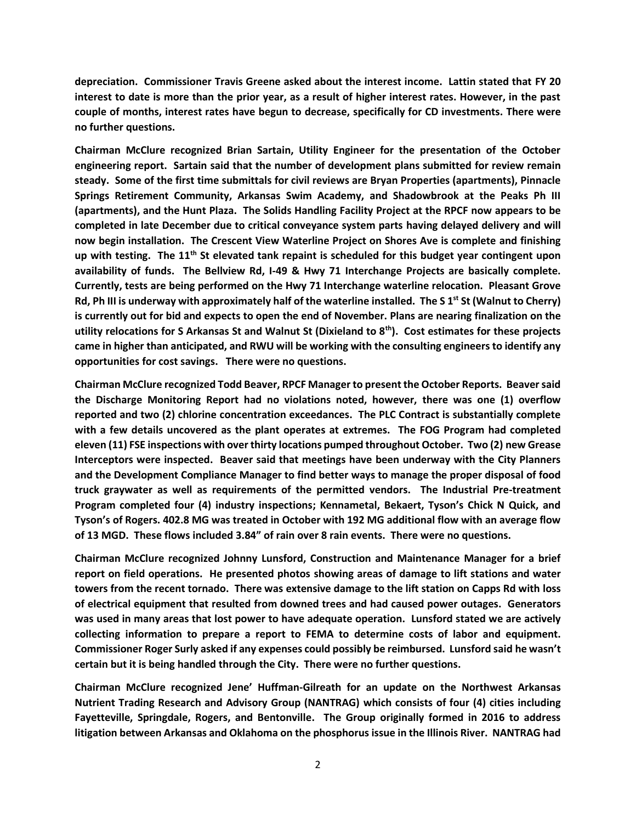**depreciation. Commissioner Travis Greene asked about the interest income. Lattin stated that FY 20 interest to date is more than the prior year, as a result of higher interest rates. However, in the past couple of months, interest rates have begun to decrease, specifically for CD investments. There were no further questions.**

**Chairman McClure recognized Brian Sartain, Utility Engineer for the presentation of the October engineering report. Sartain said that the number of development plans submitted for review remain steady. Some of the first time submittals for civil reviews are Bryan Properties (apartments), Pinnacle Springs Retirement Community, Arkansas Swim Academy, and Shadowbrook at the Peaks Ph III (apartments), and the Hunt Plaza. The Solids Handling Facility Project at the RPCF now appears to be completed in late December due to critical conveyance system parts having delayed delivery and will now begin installation. The Crescent View Waterline Project on Shores Ave is complete and finishing up with testing. The 11th St elevated tank repaint is scheduled for this budget year contingent upon availability of funds. The Bellview Rd, I-49 & Hwy 71 Interchange Projects are basically complete. Currently, tests are being performed on the Hwy 71 Interchange waterline relocation. Pleasant Grove Rd, Ph III is underway with approximately half of the waterline installed. The S 1<sup>st</sup> St (Walnut to Cherry) is currently out for bid and expects to open the end of November. Plans are nearing finalization on the utility relocations for S Arkansas St and Walnut St (Dixieland to 8th). Cost estimates for these projects came in higher than anticipated, and RWU will be working with the consulting engineers to identify any opportunities for cost savings. There were no questions.**

**Chairman McClure recognized Todd Beaver, RPCF Manager to present the October Reports. Beaver said the Discharge Monitoring Report had no violations noted, however, there was one (1) overflow reported and two (2) chlorine concentration exceedances. The PLC Contract is substantially complete with a few details uncovered as the plant operates at extremes. The FOG Program had completed eleven (11) FSE inspections with over thirty locations pumped throughout October. Two (2) new Grease Interceptors were inspected. Beaver said that meetings have been underway with the City Planners and the Development Compliance Manager to find better ways to manage the proper disposal of food truck graywater as well as requirements of the permitted vendors. The Industrial Pre-treatment Program completed four (4) industry inspections; Kennametal, Bekaert, Tyson's Chick N Quick, and Tyson's of Rogers. 402.8 MG was treated in October with 192 MG additional flow with an average flow of 13 MGD. These flows included 3.84" of rain over 8 rain events. There were no questions.**

**Chairman McClure recognized Johnny Lunsford, Construction and Maintenance Manager for a brief report on field operations. He presented photos showing areas of damage to lift stations and water towers from the recent tornado. There was extensive damage to the lift station on Capps Rd with loss of electrical equipment that resulted from downed trees and had caused power outages. Generators was used in many areas that lost power to have adequate operation. Lunsford stated we are actively collecting information to prepare a report to FEMA to determine costs of labor and equipment. Commissioner Roger Surly asked if any expenses could possibly be reimbursed. Lunsford said he wasn't certain but it is being handled through the City. There were no further questions.**

**Chairman McClure recognized Jene' Huffman-Gilreath for an update on the Northwest Arkansas Nutrient Trading Research and Advisory Group (NANTRAG) which consists of four (4) cities including Fayetteville, Springdale, Rogers, and Bentonville. The Group originally formed in 2016 to address litigation between Arkansas and Oklahoma on the phosphorus issue in the Illinois River. NANTRAG had**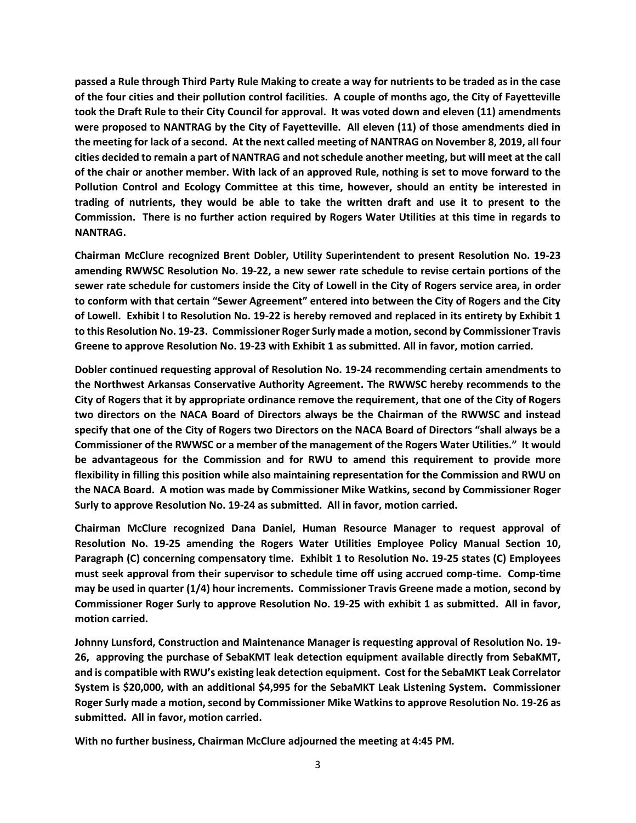**passed a Rule through Third Party Rule Making to create a way for nutrients to be traded as in the case of the four cities and their pollution control facilities. A couple of months ago, the City of Fayetteville took the Draft Rule to their City Council for approval. It was voted down and eleven (11) amendments were proposed to NANTRAG by the City of Fayetteville. All eleven (11) of those amendments died in the meeting for lack of a second. At the next called meeting of NANTRAG on November 8, 2019, all four cities decided to remain a part of NANTRAG and not schedule another meeting, but will meet at the call of the chair or another member. With lack of an approved Rule, nothing is set to move forward to the Pollution Control and Ecology Committee at this time, however, should an entity be interested in trading of nutrients, they would be able to take the written draft and use it to present to the Commission. There is no further action required by Rogers Water Utilities at this time in regards to NANTRAG.**

**Chairman McClure recognized Brent Dobler, Utility Superintendent to present Resolution No. 19-23 amending RWWSC Resolution No. 19-22, a new sewer rate schedule to revise certain portions of the sewer rate schedule for customers inside the City of Lowell in the City of Rogers service area, in order to conform with that certain "Sewer Agreement" entered into between the City of Rogers and the City of Lowell. Exhibit l to Resolution No. 19-22 is hereby removed and replaced in its entirety by Exhibit 1 to this Resolution No. 19-23. Commissioner Roger Surly made a motion, second by Commissioner Travis Greene to approve Resolution No. 19-23 with Exhibit 1 as submitted. All in favor, motion carried.**

**Dobler continued requesting approval of Resolution No. 19-24 recommending certain amendments to the Northwest Arkansas Conservative Authority Agreement. The RWWSC hereby recommends to the City of Rogers that it by appropriate ordinance remove the requirement, that one of the City of Rogers two directors on the NACA Board of Directors always be the Chairman of the RWWSC and instead specify that one of the City of Rogers two Directors on the NACA Board of Directors "shall always be a Commissioner of the RWWSC or a member of the management of the Rogers Water Utilities." It would be advantageous for the Commission and for RWU to amend this requirement to provide more flexibility in filling this position while also maintaining representation for the Commission and RWU on the NACA Board. A motion was made by Commissioner Mike Watkins, second by Commissioner Roger Surly to approve Resolution No. 19-24 as submitted. All in favor, motion carried.**

**Chairman McClure recognized Dana Daniel, Human Resource Manager to request approval of Resolution No. 19-25 amending the Rogers Water Utilities Employee Policy Manual Section 10, Paragraph (C) concerning compensatory time. Exhibit 1 to Resolution No. 19-25 states (C) Employees must seek approval from their supervisor to schedule time off using accrued comp-time. Comp-time may be used in quarter (1/4) hour increments. Commissioner Travis Greene made a motion, second by Commissioner Roger Surly to approve Resolution No. 19-25 with exhibit 1 as submitted. All in favor, motion carried.**

**Johnny Lunsford, Construction and Maintenance Manager is requesting approval of Resolution No. 19- 26, approving the purchase of SebaKMT leak detection equipment available directly from SebaKMT, and is compatible with RWU's existing leak detection equipment. Cost for the SebaMKT Leak Correlator System is \$20,000, with an additional \$4,995 for the SebaMKT Leak Listening System. Commissioner Roger Surly made a motion, second by Commissioner Mike Watkins to approve Resolution No. 19-26 as submitted. All in favor, motion carried.**

**With no further business, Chairman McClure adjourned the meeting at 4:45 PM.**